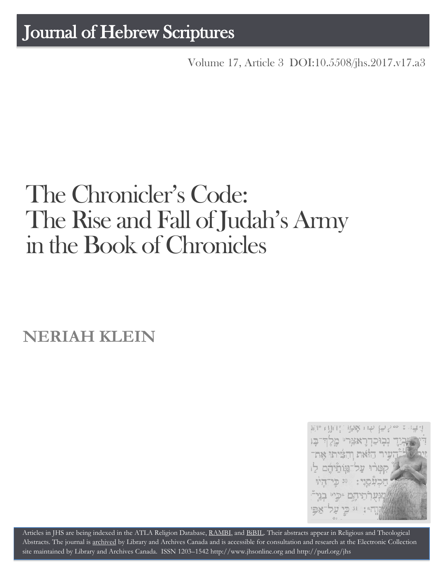## Journal of Hebrew Scriptures

Volume 17, Article 3 [DOI:10.5508/jhs.2017.v17.a3](http://dx.doi.org/10.5508/jhs.2017.v17.a3)

# The Chronicler's Code: The Rise and Fall of Judah's Army in the Book of Chronicles

**NERIAH KLEIN**



Articles in JHS are being indexed in the ATLA Religion Database, [RAMBI,](http://jnul.huji.ac.il/rambi/) and [BiBIL.](http://bibil.net/) Their abstracts appear in Religious and Theological Abstracts. The journal is [archived](http://epe.lac-bac.gc.ca/100/201/300/journal_hebrew/index.html) by Library and Archives Canada and is accessible for consultation and research at the Electronic Collection site maintained by [Library and Archives Canada.](http://collectionscanada.ca/electroniccollection/003008-200-e.html) ISSN 1203–154[2 http://www.jhsonline.org](http://www.jhsonline.org/) and<http://purl.org/jhs>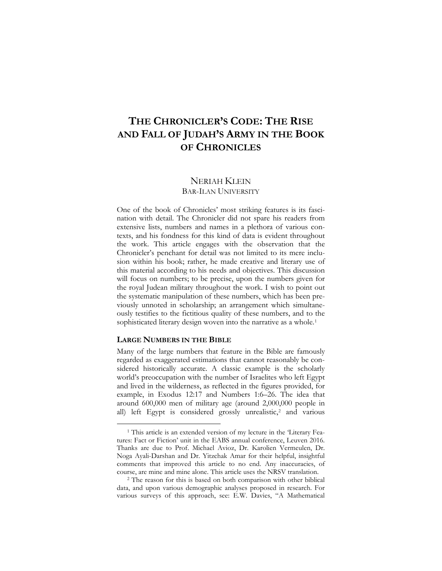### **THE CHRONICLER'S CODE: THE RISE AND FALL OF JUDAH'S ARMY IN THE BOOK OF CHRONICLES**

#### NERIAH KLEIN BAR-ILAN UNIVERSITY

One of the book of Chronicles' most striking features is its fascination with detail. The Chronicler did not spare his readers from extensive lists, numbers and names in a plethora of various contexts, and his fondness for this kind of data is evident throughout the work. This article engages with the observation that the Chronicler's penchant for detail was not limited to its mere inclusion within his book; rather, he made creative and literary use of this material according to his needs and objectives. This discussion will focus on numbers; to be precise, upon the numbers given for the royal Judean military throughout the work. I wish to point out the systematic manipulation of these numbers, which has been previously unnoted in scholarship; an arrangement which simultaneously testifies to the fictitious quality of these numbers, and to the sophisticated literary design woven into the narrative as a whole.<sup>[1](#page-1-0)</sup>

#### **LARGE NUMBERS IN THE BIBLE**

 $\overline{a}$ 

Many of the large numbers that feature in the Bible are famously regarded as exaggerated estimations that cannot reasonably be considered historically accurate. A classic example is the scholarly world's preoccupation with the number of Israelites who left Egypt and lived in the wilderness, as reflected in the figures provided, for example, in Exodus 12:17 and Numbers 1:6–26. The idea that around 600,000 men of military age (around 2,000,000 people in all) left Egypt is considered grossly unrealistic,<sup>[2](#page-1-1)</sup> and various

<span id="page-1-0"></span><sup>&</sup>lt;sup>1</sup> This article is an extended version of my lecture in the 'Literary Features: Fact or Fiction' unit in the EABS annual conference, Leuven 2016. Thanks are due to Prof. Michael Avioz, Dr. Karolien Vermeulen, Dr. Noga Ayali-Darshan and Dr. Yitzchak Amar for their helpful, insightful comments that improved this article to no end. Any inaccuracies, of course, are mine and mine alone. This article uses the NRSV translation.

<span id="page-1-1"></span><sup>&</sup>lt;sup>2</sup> The reason for this is based on both comparison with other biblical data, and upon various demographic analyses proposed in research. For various surveys of this approach, see: E.W. Davies, "A Mathematical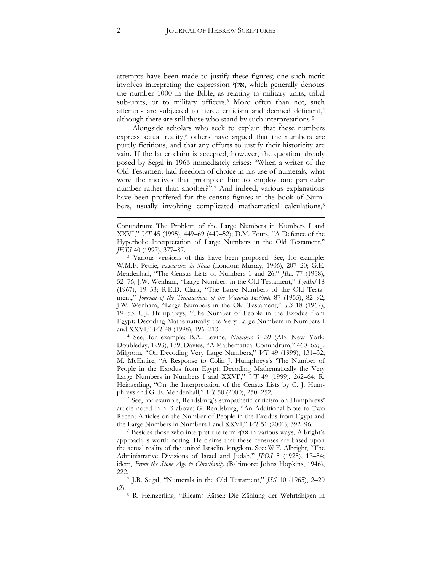attempts have been made to justify these figures; one such tactic involves interpreting the expression אלף, which generally denotes the number 1000 in the Bible, as relating to military units, tribal sub-units, or to military officers.<sup>3</sup> More often than not, such attempts are subjected to fierce criticism and deemed deficient,<sup>4</sup> although there are still those who stand by such interpretations.<sup>5</sup>

Alongside scholars who seek to explain that these numbers express actual reality,<sup>6</sup> others have argued that the numbers are purely fictitious, and that any efforts to justify their historicity are vain. If the latter claim is accepted, however, the question already posed by Segal in 1965 immediately arises: "When a writer of the Old Testament had freedom of choice in his use of numerals, what were the motives that prompted him to employ one particular number rather than another?".<sup>7</sup> And indeed, various explanations have been proffered for the census figures in the book of Numbers, usually involving complicated mathematical calculations,<sup>8</sup>

<sup>4</sup> See, for example: B.A. Levine, *Numbers 1–20* (AB; New York: Doubleday, 1993), 139; Davies, "A Mathematical Conundrum," 460–65; J. Milgrom, "On Decoding Very Large Numbers," *VT* 49 (1999), 131–32; M. McEntire, "A Response to Colin J. Humphreys's 'The Number of People in the Exodus from Egypt: Decoding Mathematically the Very Large Numbers in Numbers I and XXVI'," *VT* 49 (1999), 262–64; R. Heinzerling, "On the Interpretation of the Census Lists by C. J. Humphreys and G. E. Mendenhall," *VT* 50 (2000), 250–252.

<sup>5</sup> See, for example, Rendsburg's sympathetic criticism on Humphreys' article noted in n. 3 above: G. Rendsburg, "An Additional Note to Two Recent Articles on the Number of People in the Exodus from Egypt and the Large Numbers in Numbers I and XXVI," *VT* 51 (2001), 392–96.

<sup>6</sup> Besides those who interpret the term אלף in various ways, Albright's approach is worth noting. He claims that these censuses are based upon the actual reality of the united Israelite kingdom. See: W.F. Albright, "The Administrative Divisions of Israel and Judah," *JPOS* 5 (1925), 17–54; idem, *From the Stone Age to Christianity* (Baltimore: Johns Hopkins, 1946),

222.7 J.B. Segal, "Numerals in the Old Testament," *JSS* 10 (1965), 2–20 (2).

<sup>8</sup> R. Heinzerling, "Bileams Rätsel: Die Zählung der Wehrfähigen in

Conundrum: The Problem of the Large Numbers in Numbers I and XXVI," *VT* 45 (1995), 449–69 (449–52); D.M. Fouts, "A Defence of the Hyperbolic Interpretation of Large Numbers in the Old Testament," *JETS* 40 (1997), 377–87.

<sup>3</sup> Various versions of this have been proposed. See, for example: W.M.F. Petrie, *Researches in Sinai* (London: Murray, 1906), 207–20; G.E. Mendenhall, "The Census Lists of Numbers 1 and 26," *JBL* 77 (1958), 52–76; J.W. Wenham, "Large Numbers in the Old Testament," *TynBul* 18 (1967), 19–53; R.E.D. Clark, "The Large Numbers of the Old Testament," *Journal of the Transactions of the Victoria Institute* 87 (1955), 82–92; J.W. Wenham, "Large Numbers in the Old Testament," *TB* 18 (1967), 19–53; C.J. Humphreys, "The Number of People in the Exodus from Egypt: Decoding Mathematically the Very Large Numbers in Numbers I and XXVI," *VT* 48 (1998), 196–213.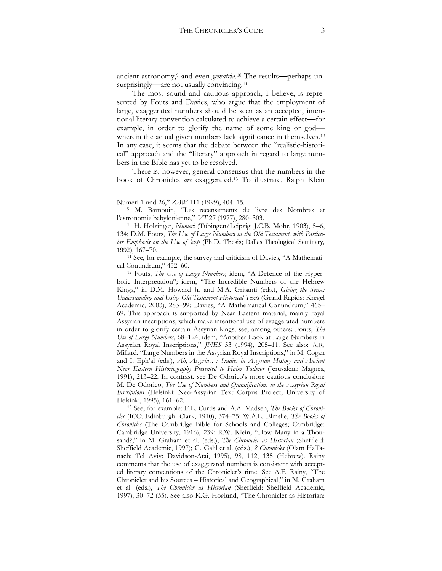ancient astronomy,<sup>[9](#page-3-0)</sup> and even *gematria*.<sup>[10](#page-3-1)</sup> The results—perhaps un-surprisingly—are not usually convincing.<sup>[11](#page-3-2)</sup>

The most sound and cautious approach, I believe, is represented by Fouts and Davies, who argue that the employment of large, exaggerated numbers should be seen as an accepted, intentional literary convention calculated to achieve a certain effect**—**for example, in order to glorify the name of some king or god**—** wherein the actual given numbers lack significance in themselves.<sup>[12](#page-3-3)</sup> In any case, it seems that the debate between the "realistic-historical" approach and the "literary" approach in regard to large numbers in the Bible has yet to be resolved.

There is, however, general consensus that the numbers in the book of Chronicles *are* exaggerated.[13](#page-3-4) To illustrate, Ralph Klein

 $\overline{a}$ 

<span id="page-3-2"></span><sup>11</sup> See, for example, the survey and criticism of Davies, "A Mathematical Conundrum," 452–60.

<span id="page-3-3"></span><sup>12</sup> Fouts, *The Use of Large Numbers*; idem, "A Defence of the Hyperbolic Interpretation"; idem, "The Incredible Numbers of the Hebrew Kings," in D.M. Howard Jr. and M.A. Grisanti (eds.), *Giving the Sense: Understanding and Using Old Testament Historical Texts* (Grand Rapids: Kregel Academic, 2003), 283–99; Davies, "A Mathematical Conundrum," 465– 69. This approach is supported by Near Eastern material, mainly royal Assyrian inscriptions, which make intentional use of exaggerated numbers in order to glorify certain Assyrian kings; see, among others: Fouts, *The Use of Large Numbers*, 68–124; idem, "Another Look at Large Numbers in Assyrian Royal Inscriptions," *JNES* 53 (1994), 205–11. See also: A.R. Millard, "Large Numbers in the Assyrian Royal Inscriptions," in M. Cogan and I. Eph'al (eds.), *Ah, Assyria…: Studies in Assyrian History and Ancient Near Eastern Historiography Presented to Haim Tadmor* (Jerusalem: Magnes, 1991), 213–22. In contrast, see De Odorico's more cautious conclusion: M. De Odorico, *The Use of Numbers and Quantifications in the Assyrian Royal Inscriptions* (Helsinki: Neo-Assyrian Text Corpus Project, University of Helsinki, 1995), 161–62.

<span id="page-3-4"></span><sup>13</sup> See, for example: E.L. Curtis and A.A. Madsen, *The Books of Chronicles* (ICC; Edinburgh: Clark, 1910), 374–75; W.A.L. Elmslie, *The Books of Chronicles* (The Cambridge Bible for Schools and Colleges; Cambridge: Cambridge University, 1916), 239; R.W. Klein, "How Many in a Thousand?," in M. Graham et al. (eds.), *The Chronicler as Historian* (Sheffield: Sheffield Academic, 1997); G. Galil et al. (eds.), *2 Chronicles* (Olam HaTanach; Tel Aviv: Davidson-Atai, 1995), 98, 112, 135 (Hebrew). Rainy comments that the use of exaggerated numbers is consistent with accepted literary conventions of the Chronicler's time. See A.F. Rainy, "The Chronicler and his Sources – Historical and Geographical," in M. Graham et al. (eds.), *The Chronicler as Historian* (Sheffield: Sheffield Academic, 1997), 30–72 (55). See also K.G. Hoglund, "The Chronicler as Historian:

Numeri 1 und 26," *ZAW* 111 (1999), 404–15.

<span id="page-3-0"></span><sup>9</sup> M. Barnouin, "Les recensements du livre des Nombres et l'astronomie babylonienne," *VT* 27 (1977), 280–303.

<span id="page-3-1"></span><sup>10</sup> H. Holzinger, *Numeri* (Tübingen/Leipzig: J.C.B. Mohr, 1903), 5–6, 134; D.M. Fouts, *The Use of Large Numbers in the Old Testament, with Particular Emphasis on the Use of 'elep* (Ph.D. Thesis; Dallas Theological Seminary, 1992), 167–70.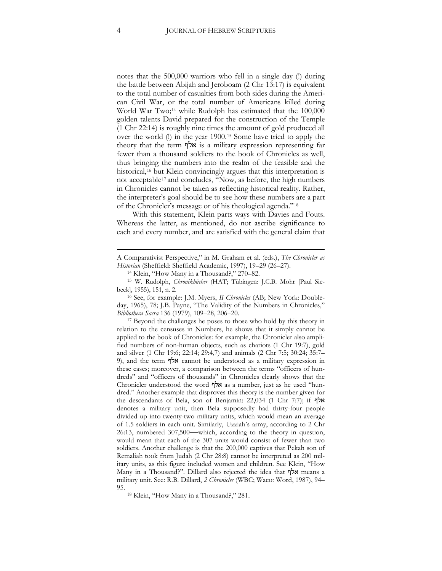notes that the 500,000 warriors who fell in a single day (!) during the battle between Abijah and Jeroboam (2 Chr 13:17) is equivalent to the total number of casualties from both sides during the American Civil War, or the total number of Americans killed during World War Two;<sup>14</sup> while Rudolph has estimated that the 100,000 golden talents David prepared for the construction of the Temple (1 Chr 22:14) is roughly nine times the amount of gold produced all over the world (!) in the year 1900.<sup>15</sup> Some have tried to apply the theory that the term אלף is a military expression representing far fewer than a thousand soldiers to the book of Chronicles as well, thus bringing the numbers into the realm of the feasible and the historical,<sup>16</sup> but Klein convincingly argues that this interpretation is not acceptable<sup>17</sup> and concludes, "Now, as before, the high numbers in Chronicles cannot be taken as reflecting historical reality. Rather, the interpreter's goal should be to see how these numbers are a part of the Chronicler's message or of his theological agenda."<sup>18</sup>

With this statement, Klein parts ways with Davies and Fouts. Whereas the latter, as mentioned, do not ascribe significance to each and every number, and are satisfied with the general claim that

<sup>16</sup> See, for example: J.M. Myers, *II Chronicles* (AB; New York: Doubleday, 1965), 78; J.B. Payne, "The Validity of the Numbers in Chronicles," *Bibliotheca Sacra* 136 (1979), 109–28, 206–20.

<sup>17</sup> Beyond the challenges he poses to those who hold by this theory in relation to the censuses in Numbers, he shows that it simply cannot be applied to the book of Chronicles: for example, the Chronicler also amplified numbers of non-human objects, such as chariots (1 Chr 19:7), gold and silver (1 Chr 19:6; 22:14; 29:4,7) and animals (2 Chr 7:5; 30:24; 35:7– 9), and the term אלף cannot be understood as a military expression in these cases; moreover, a comparison between the terms "officers of hundreds" and "officers of thousands" in Chronicles clearly shows that the Chronicler understood the word אלף as a number, just as he used "hundred." Another example that disproves this theory is the number given for the descendants of Bela, son of Benjamin: 22,034 (1 Chr 7:7); if אלף denotes a military unit, then Bela supposedly had thirty-four people divided up into twenty-two military units, which would mean an average of 1.5 soldiers in each unit. Similarly, Uzziah's army, according to 2 Chr 26:13, numbered 307,500**—**which, according to the theory in question, would mean that each of the 307 units would consist of fewer than two soldiers. Another challenge is that the 200,000 captives that Pekah son of Remaliah took from Judah (2 Chr 28:8) cannot be interpreted as 200 military units, as this figure included women and children. See Klein, "How Many in a Thousand?". Dillard also rejected the idea that אלף means a military unit. See: R.B. Dillard, *2 Chronicles* (WBC; Waco: Word, 1987), 94– 95.

<sup>18</sup> Klein, "How Many in a Thousand?," 281.

A Comparativist Perspective," in M. Graham et al. (eds.), *The Chronicler as Historian* (Sheffield: Sheffield Academic, 1997), 19–29 (26–27).

<sup>14</sup> Klein, "How Many in a Thousand?," 270–82.

<sup>15</sup> W. Rudolph, *Chronikbücher* (HAT; Tübingen: J.C.B. Mohr [Paul Siebeck], 1955), 151, n. 2.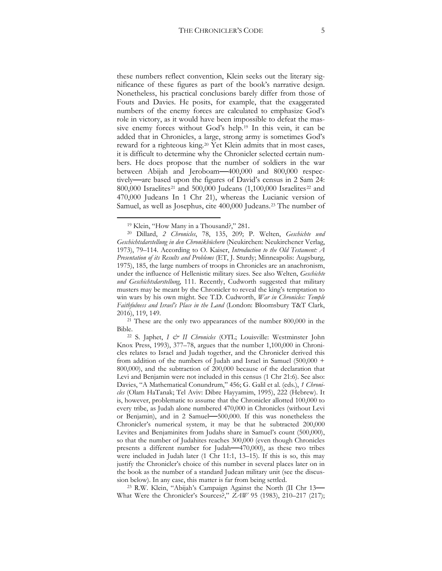these numbers reflect convention, Klein seeks out the literary significance of these figures as part of the book's narrative design. Nonetheless, his practical conclusions barely differ from those of Fouts and Davies. He posits, for example, that the exaggerated numbers of the enemy forces are calculated to emphasize God's role in victory, as it would have been impossible to defeat the massive enemy forces without God's help.[19](#page-5-0) In this vein, it can be added that in Chronicles, a large, strong army is sometimes God's reward for a righteous king.[20](#page-5-1) Yet Klein admits that in most cases, it is difficult to determine why the Chronicler selected certain numbers. He does propose that the number of soldiers in the war between Abijah and Jeroboam**—**400,000 and 800,000 respectively**—**are based upon the figures of David's census in 2 Sam 24: 800,000 Israelites<sup>[21](#page-5-2)</sup> and 500,000 Judeans (1,100,000 Israelites<sup>[22](#page-5-3)</sup> and 470,000 Judeans In 1 Chr 21), whereas the Lucianic version of Samuel, as well as Josephus, cite 400,000 Judeans.[23](#page-5-4) The number of

 $\overline{a}$ 

<span id="page-5-2"></span><sup>21</sup> These are the only two appearances of the number 800,000 in the Bible.

<span id="page-5-4"></span><sup>23</sup> R.W. Klein, "Abijah's Campaign Against the North (II Chr 13**—** What Were the Chronicler's Sources?," *ZAW* 95 (1983), 210–217 (217);

<sup>19</sup> Klein, "How Many in a Thousand?," 281.

<span id="page-5-1"></span><span id="page-5-0"></span><sup>20</sup> Dillard, *2 Chronicles*, 78, 135, 209; P. Welten, *Geschichte und Geschichtsdarstellung in den Chronikbüchern* (Neukirchen: Neukirchener Verlag, 1973), 79–114. According to O. Kaiser, *Introduction to the Old Testament: A Presentation of its Results and Problems* (ET, J. Sturdy; Minneapolis: Augsburg, 1975), 185, the large numbers of troops in Chronicles are an anachronism, under the influence of Hellenistic military sizes. See also Welten, *Geschichte und Geschichtsdarstellung*, 111. Recently, Cudworth suggested that military musters may be meant by the Chronicler to reveal the king's temptation to win wars by his own might. See T.D. Cudworth, *War in Chronicles: Temple Faithfulness and Israel's Place in the Land* (London: Bloomsbury T&T Clark, 2016), 119, 149.

<span id="page-5-3"></span><sup>22</sup> S. Japhet, *I & II Chronicles* (OTL; Louisville: Westminster John Knox Press, 1993), 377–78, argues that the number 1,100,000 in Chronicles relates to Israel and Judah together, and the Chronicler derived this from addition of the numbers of Judah and Israel in Samuel (500,000 + 800,000), and the subtraction of 200,000 because of the declaration that Levi and Benjamin were not included in this census (1 Chr 21:6). See also: Davies, "A Mathematical Conundrum," 456; G. Galil et al. (eds.), *1 Chronicles* (Olam HaTanak; Tel Aviv: Dibre Hayyamim, 1995), 222 (Hebrew). It is, however, problematic to assume that the Chronicler allotted 100,000 to every tribe, as Judah alone numbered 470,000 in Chronicles (without Levi or Benjamin), and in 2 Samuel**—**500,000. If this was nonetheless the Chronicler's numerical system, it may be that he subtracted 200,000 Levites and Benjaminites from Judahs share in Samuel's count (500,000), so that the number of Judahites reaches 300,000 (even though Chronicles presents a different number for Judah**—**470,000), as these two tribes were included in Judah later (1 Chr 11:1, 13–15). If this is so, this may justify the Chronicler's choice of this number in several places later on in the book as the number of a standard Judean military unit (see the discussion below). In any case, this matter is far from being settled.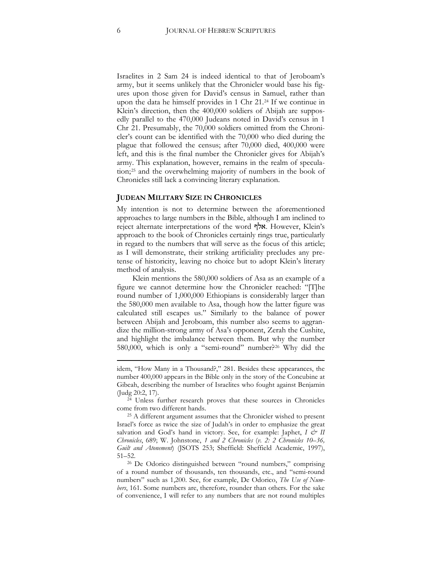Israelites in 2 Sam 24 is indeed identical to that of Jeroboam's army, but it seems unlikely that the Chronicler would base his figures upon those given for David's census in Samuel, rather than upon the data he himself provides in 1 Chr 21.[24](#page-6-0) If we continue in Klein's direction, then the 400,000 soldiers of Abijah are supposedly parallel to the 470,000 Judeans noted in David's census in 1 Chr 21. Presumably, the 70,000 soldiers omitted from the Chronicler's count can be identified with the 70,000 who died during the plague that followed the census; after 70,000 died, 400,000 were left, and this is the final number the Chronicler gives for Abijah's army. This explanation, however, remains in the realm of speculation;[25](#page-6-1) and the overwhelming majority of numbers in the book of Chronicles still lack a convincing literary explanation.

#### **JUDEAN MILITARY SIZE IN CHRONICLES**

My intention is not to determine between the aforementioned approaches to large numbers in the Bible, although I am inclined to reject alternate interpretations of the word אלף. However, Klein's approach to the book of Chronicles certainly rings true, particularly in regard to the numbers that will serve as the focus of this article; as I will demonstrate, their striking artificiality precludes any pretense of historicity, leaving no choice but to adopt Klein's literary method of analysis.

Klein mentions the 580,000 soldiers of Asa as an example of a figure we cannot determine how the Chronicler reached: "[T]he round number of 1,000,000 Ethiopians is considerably larger than the 580,000 men available to Asa, though how the latter figure was calculated still escapes us." Similarly to the balance of power between Abijah and Jeroboam, this number also seems to aggrandize the million-strong army of Asa's opponent, Zerah the Cushite, and highlight the imbalance between them. But why the number 580,000, which is only a "semi-round" number?<sup>26</sup> Why did the

<span id="page-6-0"></span><sup>24</sup> Unless further research proves that these sources in Chronicles come from two different hands.

<span id="page-6-1"></span><sup>25</sup> A different argument assumes that the Chronicler wished to present Israel's force as twice the size of Judah's in order to emphasize the great salvation and God's hand in victory. See, for example: Japhet, *I & II Chronicles*, 689; W. Johnstone, *1 and 2 Chronicles* (*v. 2: 2 Chronicles 10–36, Guilt and Atonement*) (JSOTS 253; Sheffield: Sheffield Academic, 1997), 51–52.

<sup>26</sup> De Odorico distinguished between "round numbers," comprising of a round number of thousands, ten thousands, etc., and "semi-round numbers" such as 1,200. See, for example, De Odorico, *The Use of Numbers*, 161. Some numbers are, therefore, rounder than others. For the sake of convenience, I will refer to any numbers that are not round multiples

idem, "How Many in a Thousand?," 281. Besides these appearances, the number 400,000 appears in the Bible only in the story of the Concubine at Gibeah, describing the number of Israelites who fought against Benjamin (Judg 20:2, 17).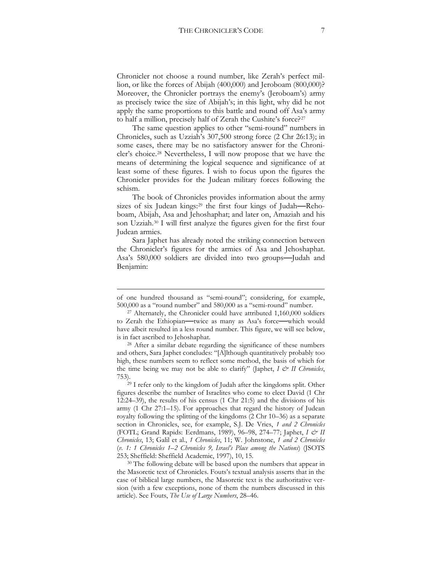Chronicler not choose a round number, like Zerah's perfect million, or like the forces of Abijah (400,000) and Jeroboam (800,000)? Moreover, the Chronicler portrays the enemy's (Jeroboam's) army as precisely twice the size of Abijah's; in this light, why did he not apply the same proportions to this battle and round off Asa's army to half a million, precisely half of Zerah the Cushite's force?[27](#page-7-0)

The same question applies to other "semi-round" numbers in Chronicles, such as Uzziah's 307,500 strong force (2 Chr 26:13); in some cases, there may be no satisfactory answer for the Chronicler's choice.[28](#page-7-1) Nevertheless, I will now propose that we have the means of determining the logical sequence and significance of at least some of these figures. I wish to focus upon the figures the Chronicler provides for the Judean military forces following the schism.

The book of Chronicles provides information about the army sizes of six Judean kings:[29](#page-7-2) the first four kings of Judah**—**Rehoboam, Abijah, Asa and Jehoshaphat; and later on, Amaziah and his son Uzziah.[30](#page-7-3) I will first analyze the figures given for the first four Judean armies.

Sara Japhet has already noted the striking connection between the Chronicler's figures for the armies of Asa and Jehoshaphat. Asa's 580,000 soldiers are divided into two groups**—**Judah and Benjamin:

of one hundred thousand as "semi-round"; considering, for example, 500,000 as a "round number" and 580,000 as a "semi-round" number.

<span id="page-7-0"></span> $27$  Alternately, the Chronicler could have attributed  $1,160,000$  soldiers to Zerah the Ethiopian**—**twice as many as Asa's force**—**which would have albeit resulted in a less round number. This figure, we will see below, is in fact ascribed to Jehoshaphat.

<span id="page-7-1"></span><sup>28</sup> After a similar debate regarding the significance of these numbers and others, Sara Japhet concludes: "[A]lthough quantitatively probably too high, these numbers seem to reflect some method, the basis of which for the time being we may not be able to clarify" (Japhet,  $I \circ I$  *Chronicles*, 753).29 I refer only to the kingdom of Judah after the kingdoms split. Other

<span id="page-7-2"></span>figures describe the number of Israelites who come to elect David (1 Chr 12:24–39), the results of his census (1 Chr 21:5) and the divisions of his army (1 Chr 27:1–15). For approaches that regard the history of Judean royalty following the splitting of the kingdoms (2 Chr 10–36) as a separate section in Chronicles, see, for example, S.J. De Vries, *1 and 2 Chronicles* (FOTL; Grand Rapids: Eerdmans, 1989), 96–98, 274–77; Japhet, *I & II Chronicles*, 13; Galil et al., *1 Chronicles*, 11; W. Johnstone, *1 and 2 Chronicles*  (*v. 1: 1 Chronicles 1–2 Chronicles 9, Israel's Place among the Nations*) (JSOTS 253; Sheffield: Sheffield Academic, 1997), 10, 15.

<span id="page-7-3"></span><sup>&</sup>lt;sup>30</sup> The following debate will be based upon the numbers that appear in the Masoretic text of Chronicles. Fouts's textual analysis asserts that in the case of biblical large numbers, the Masoretic text is the authoritative version (with a few exceptions, none of them the numbers discussed in this article). See Fouts, *The Use of Large Numbers*, 28–46.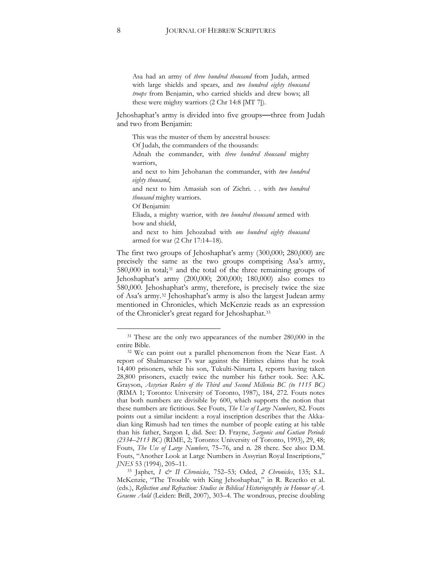Asa had an army of *three hundred thousand* from Judah, armed with large shields and spears, and *two hundred eighty thousand troops* from Benjamin, who carried shields and drew bows; all these were mighty warriors (2 Chr 14:8 [MT 7]).

Jehoshaphat's army is divided into five groups**—**three from Judah and two from Benjamin:

This was the muster of them by ancestral houses: Of Judah, the commanders of the thousands: Adnah the commander, with *three hundred thousand* mighty warriors, and next to him Jehohanan the commander, with *two hundred eighty thousand*, and next to him Amasiah son of Zichri. . . with *two hundred thousand* mighty warriors. Of Benjamin: Eliada, a mighty warrior, with *two hundred thousand* armed with bow and shield, and next to him Jehozabad with *one hundred eighty thousand* armed for war (2 Chr 17:14–18).

The first two groups of Jehoshaphat's army (300,000; 280,000) are precisely the same as the two groups comprising Asa's army, 580,000 in total;<sup>[31](#page-8-0)</sup> and the total of the three remaining groups of Jehoshaphat's army (200,000; 200,000; 180,000) also comes to 580,000. Jehoshaphat's army, therefore, is precisely twice the size of Asa's army.[32](#page-8-1) Jehoshaphat's army is also the largest Judean army mentioned in Chronicles, which McKenzie reads as an expression of the Chronicler's great regard for Jehoshaphat.[33](#page-8-2)

<span id="page-8-0"></span><sup>&</sup>lt;sup>31</sup> These are the only two appearances of the number 280,000 in the entire Bible.

<span id="page-8-1"></span><sup>32</sup> We can point out a parallel phenomenon from the Near East. A report of Shalmaneser I's war against the Hittites claims that he took 14,400 prisoners, while his son, Tukulti-Ninurta I, reports having taken 28,800 prisoners, exactly twice the number his father took. See: A.K. Grayson, *Assyrian Rulers of the Third and Second Millenia BC (to 1115 BC)* (RIMA 1; Toronto: University of Toronto, 1987), 184, 272. Fouts notes that both numbers are divisible by 600, which supports the notion that these numbers are fictitious. See Fouts, *The Use of Large Numbers*, 82. Fouts points out a similar incident: a royal inscription describes that the Akkadian king Rimush had ten times the number of people eating at his table than his father, Sargon I, did. See: D. Frayne, *Sargonic and Gutian Periods (2334–2113 BC)* (RIME, 2; Toronto: University of Toronto, 1993), 29, 48; Fouts, *The Use of Large Numbers*, 75–76, and n. 28 there. See also: D.M. Fouts, "Another Look at Large Numbers in Assyrian Royal Inscriptions," *JNES* 53 (1994), 205–11.

<span id="page-8-2"></span><sup>33</sup> Japhet, *I & II Chronicles*, 752–53; Oded, *2 Chronicles*, 135; S.L. McKenzie, "The Trouble with King Jehoshaphat," in R. Rezetko et al. (eds.), *Reflection and Refraction: Studies in Biblical Historiography in Honour of A. Graeme Auld* (Leiden: Brill, 2007), 303–4. The wondrous, precise doubling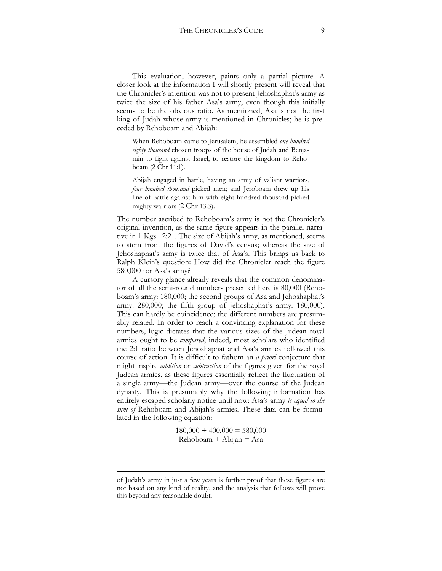This evaluation, however, paints only a partial picture. A closer look at the information I will shortly present will reveal that the Chronicler's intention was not to present Jehoshaphat's army as twice the size of his father Asa's army, even though this initially seems to be the obvious ratio. As mentioned, Asa is not the first king of Judah whose army is mentioned in Chronicles; he is preceded by Rehoboam and Abijah:

When Rehoboam came to Jerusalem, he assembled *one hundred eighty thousand* chosen troops of the house of Judah and Benjamin to fight against Israel, to restore the kingdom to Rehoboam (2 Chr 11:1).

Abijah engaged in battle, having an army of valiant warriors, *four hundred thousand* picked men; and Jeroboam drew up his line of battle against him with eight hundred thousand picked mighty warriors (2 Chr 13:3).

The number ascribed to Rehoboam's army is not the Chronicler's original invention, as the same figure appears in the parallel narrative in 1 Kgs 12:21. The size of Abijah's army, as mentioned, seems to stem from the figures of David's census; whereas the size of Jehoshaphat's army is twice that of Asa's. This brings us back to Ralph Klein's question: How did the Chronicler reach the figure 580,000 for Asa's army?

A cursory glance already reveals that the common denominator of all the semi-round numbers presented here is 80,000 (Rehoboam's army: 180,000; the second groups of Asa and Jehoshaphat's army: 280,000; the fifth group of Jehoshaphat's army: 180,000). This can hardly be coincidence; the different numbers are presumably related. In order to reach a convincing explanation for these numbers, logic dictates that the various sizes of the Judean royal armies ought to be *compared*; indeed, most scholars who identified the 2:1 ratio between Jehoshaphat and Asa's armies followed this course of action. It is difficult to fathom an *a priori* conjecture that might inspire *addition* or *subtraction* of the figures given for the royal Judean armies, as these figures essentially reflect the fluctuation of a single army**—**the Judean army**—**over the course of the Judean dynasty. This is presumably why the following information has entirely escaped scholarly notice until now: Asa's army *is equal to the sum of* Rehoboam and Abijah's armies. These data can be formulated in the following equation:

> $180,000 + 400,000 = 580,000$  $Rehoboam + Abijah = Asa$

of Judah's army in just a few years is further proof that these figures are not based on any kind of reality, and the analysis that follows will prove this beyond any reasonable doubt.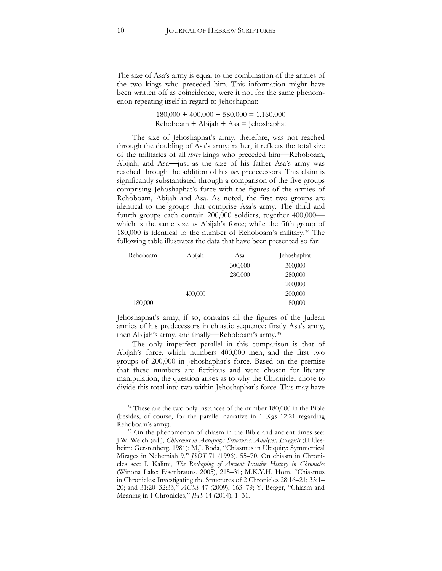The size of Asa's army is equal to the combination of the armies of the two kings who preceded him. This information might have been written off as coincidence, were it not for the same phenomenon repeating itself in regard to Jehoshaphat:

> $180,000 + 400,000 + 580,000 = 1,160,000$  $Rehoboam + Abijah + Asa = Jehoshaphat$

The size of Jehoshaphat's army, therefore, was not reached through the doubling of Asa's army; rather, it reflects the total size of the militaries of all *three* kings who preceded him**—**Rehoboam, Abijah, and Asa**—**just as the size of his father Asa's army was reached through the addition of his *two* predecessors. This claim is significantly substantiated through a comparison of the five groups comprising Jehoshaphat's force with the figures of the armies of Rehoboam, Abijah and Asa. As noted, the first two groups are identical to the groups that comprise Asa's army. The third and fourth groups each contain 200,000 soldiers, together 400,000 which is the same size as Abijah's force; while the fifth group of 180,000 is identical to the number of Rehoboam's military.[34](#page-10-0) The following table illustrates the data that have been presented so far:

| Rehoboam | Abijah  | Asa     | <b>Jehoshaphat</b> |  |
|----------|---------|---------|--------------------|--|
|          |         | 300,000 | 300,000            |  |
|          |         | 280,000 | 280,000            |  |
|          |         |         | 200,000            |  |
|          | 200,000 |         |                    |  |
| 180,000  |         |         | 180,000            |  |

Jehoshaphat's army, if so, contains all the figures of the Judean armies of his predecessors in chiastic sequence: firstly Asa's army, then Abijah's army, and finally**—**Rehoboam's army.[35](#page-10-1)

The only imperfect parallel in this comparison is that of Abijah's force, which numbers 400,000 men, and the first two groups of 200,000 in Jehoshaphat's force. Based on the premise that these numbers are fictitious and were chosen for literary manipulation, the question arises as to why the Chronicler chose to divide this total into two within Jehoshaphat's force. This may have

<span id="page-10-0"></span><sup>&</sup>lt;sup>34</sup> These are the two only instances of the number 180,000 in the Bible (besides, of course, for the parallel narrative in 1 Kgs 12:21 regarding Rehoboam's army).

<span id="page-10-1"></span><sup>35</sup> On the phenomenon of chiasm in the Bible and ancient times see: J.W. Welch (ed.), *Chiasmus in Antiquity: Structures, Analyses, Exegesis* (Hildesheim: Gerstenberg, 1981); M.J. Boda, "Chiasmus in Ubiquity: Symmetrical Mirages in Nehemiah 9," *JSOT* 71 (1996), 55–70. On chiasm in Chronicles see: I. Kalimi, *The Reshaping of Ancient Israelite History in Chronicles* (Winona Lake: Eisenbrauns, 2005), 215–31; M.K.Y.H. Hom, "Chiasmus in Chronicles: Investigating the Structures of 2 Chronicles 28:16–21; 33:1– 20; and 31:20–32:33," *AUSS* 47 (2009), 163–79; Y. Berger, "Chiasm and Meaning in 1 Chronicles," *JHS* 14 (2014), [1–31.](http://www.jhsonline.org/Articles/article_195.pdf)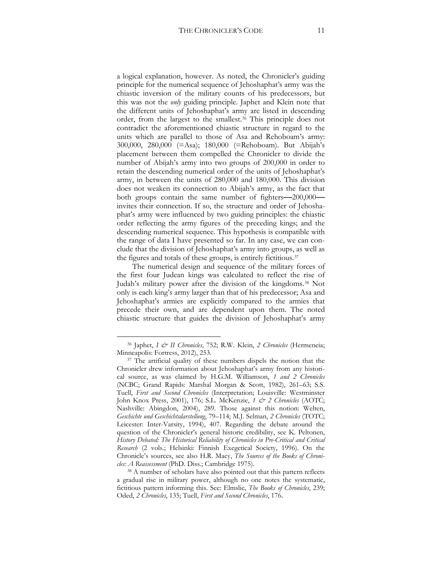a logical explanation, however. As noted, the Chronicler's guiding principle for the numerical sequence of Jehoshaphat's army was the chiastic inversion of the military counts of his predecessors, but this was not the *only* guiding principle. Japhet and Klein note that the different units of Jehoshaphat's army are listed in descending order, from the largest to the smallest.[36](#page-11-0) This principle does not contradict the aforementioned chiastic structure in regard to the units which are parallel to those of Asa and Rehoboam's army: 300,000, 280,000 (=Asa); 180,000 (=Rehoboam). But Abijah's placement between them compelled the Chronicler to divide the number of Abijah's army into two groups of 200,000 in order to retain the descending numerical order of the units of Jehoshaphat's army, in between the units of 280,000 and 180,000. This division does not weaken its connection to Abijah's army, as the fact that both groups contain the same number of fighters**—**200,000 invites their connection. If so, the structure and order of Jehoshaphat's army were influenced by two guiding principles: the chiastic order reflecting the army figures of the preceding kings; and the descending numerical sequence. This hypothesis is compatible with the range of data I have presented so far. In any case, we can conclude that the division of Jehoshaphat's army into groups, as well as the figures and totals of these groups, is entirely fictitious.[37](#page-11-1)

The numerical design and sequence of the military forces of the first four Judean kings was calculated to reflect the rise of Judah's military power after the division of the kingdoms.[38](#page-11-2) Not only is each king's army larger than that of his predecessor; Asa and Jehoshaphat's armies are explicitly compared to the armies that precede their own, and are dependent upon them. The noted chiastic structure that guides the division of Jehoshaphat's army

<span id="page-11-0"></span><sup>36</sup> Japhet, *I & II Chronicles*, 752; R.W. Klein, *2 Chronicles* (Hermeneia; Minneapolis: Fortress, 2012), 253.

<span id="page-11-1"></span><sup>&</sup>lt;sup>37</sup> The artificial quality of these numbers dispels the notion that the Chronicler drew information about Jehoshaphat's army from any historical source, as was claimed by H.G.M. Williamson, *1 and 2 Chronicles* (NCBC; Grand Rapids: Marshal Morgan & Scott, 1982), 261–63; S.S. Tuell, *First and Second Chronicles* (Interpretation; Louisville: Westminster John Knox Press, 2001), 176; S.L. McKenzie, 1 & 2 Chronicles (AOTC; Nashville: Abingdon, 2004), 289. Those against this notion: Welten, *Geschichte und Geschichtsdarstellung*, 79–114; M.J. Selman, *2 Chronicles* (TOTC; Leicester: Inter-Varsity, 1994), 407. Regarding the debate around the question of the Chronicler's general historic credibility, see K. Peltonen, *History Debated: The Historical Reliability of Chronicles in Pre-Critical and Critical Research* (2 vols.; Helsinki: Finnish Exegetical Society, 1996). On the Chronicle's sources, see also H.R. Macy, *The Sources of the Books of Chronicles: A Reassessment* (PhD. Diss.; Cambridge 1975).

<span id="page-11-2"></span><sup>38</sup> A number of scholars have also pointed out that this pattern reflects a gradual rise in military power, although no one notes the systematic, fictitious pattern informing this. See: Elmslie, *The Books of Chronicles*, 239; Oded, *2 Chronicles*, 135; Tuell, *First and Second Chronicles*, 176.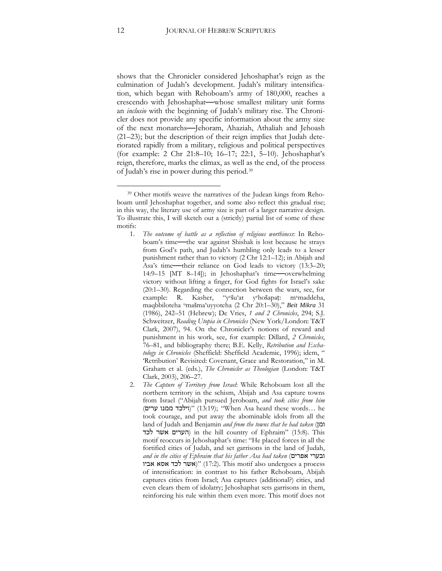shows that the Chronicler considered Jehoshaphat's reign as the culmination of Judah's development. Judah's military intensification, which began with Rehoboam's army of 180,000, reaches a crescendo with Jehoshaphat**—**whose smallest military unit forms an *inclusio* with the beginning of Judah's military rise. The Chronicler does not provide any specific information about the army size of the next monarchs**—**Jehoram, Ahaziah, Athaliah and Jehoash (21–23); but the description of their reign implies that Judah deteriorated rapidly from a military, religious and political perspectives (for example: 2 Chr 21:8–10; 16–17; 22:1, 5–10). Jehoshaphat's reign, therefore, marks the climax, as well as the end, of the process of Judah's rise in power during this period[.39](#page-12-0)

- 1. *The outcome of battle as a reflection of religious worthiness*: In Rehoboam's time**—**the war against Shishak is lost because he strays from God's path, and Judah's humbling only leads to a lesser punishment rather than to victory (2 Chr 12:1–12); in Abijah and Asa's time**—**their reliance on God leads to victory (13:3–20; 14:9–15 [MT 8–14]); in Jehoshaphat's time**—**overwhelming victory without lifting a finger, for God fights for Israel's sake (20:1–30). Regarding the connection between the wars, see, for example: R. Kasher, "yešu'at yehošapaṭ: memaddeha, maqbbiloteha umašma'uyyoteha (2 Chr 20:1–30)," *Beit Mikra* 31 (1986), 242–51 (Hebrew); De Vries, *1 and 2 Chronicles*, 294; S.J. Schweitzer, *Reading Utopia in Chronicles* (New York/London: T&T Clark, 2007), 94. On the Chronicler's notions of reward and punishment in his work, see, for example: Dillard, *2 Chronicles*, 76–81, and bibliography there; B.E. Kelly, *Retribution and Eschatology in Chronicles* (Sheffield: Sheffield Academic, 1996); idem, " 'Retribution' Revisited: Covenant, Grace and Restoration," in M. Graham et al. (eds.), *The Chronicler as Theologian* (London: T&T Clark, 2003), 206–27.
- 2. *The Capture of Territory from Israel*: While Rehoboam lost all the northern territory in the schism, Abijah and Asa capture towns from Israel ("Abijah pursued Jeroboam, *and took cities from him* (וילכד ממנו ערים) "(13:19); "When Asa heard these words... he took courage, and put away the abominable idols from all the land of Judah and Benjamin *and from the towns that he had taken* (ומן הערים אשר לכד (in the hill country of Ephraim" (15:8). This motif reoccurs in Jehoshaphat's time: "He placed forces in all the fortified cities of Judah, and set garrisons in the land of Judah, *and in the cities of Ephraim that his father Asa had taken* (אפרים ובערי אביו)" (אשר לכד אסא אביו)" (17:2). This motif also undergoes a process of intensification: in contrast to his father Rehoboam, Abijah captures cities from Israel; Asa captures (additional?) cities, and even clears them of idolatry; Jehoshaphat sets garrisons in them, reinforcing his rule within them even more. This motif does not

<span id="page-12-0"></span><sup>39</sup> Other motifs weave the narratives of the Judean kings from Rehoboam until Jehoshaphat together, and some also reflect this gradual rise; in this way, the literary use of army size is part of a larger narrative design. To illustrate this, I will sketch out a (strictly) partial list of some of these motifs: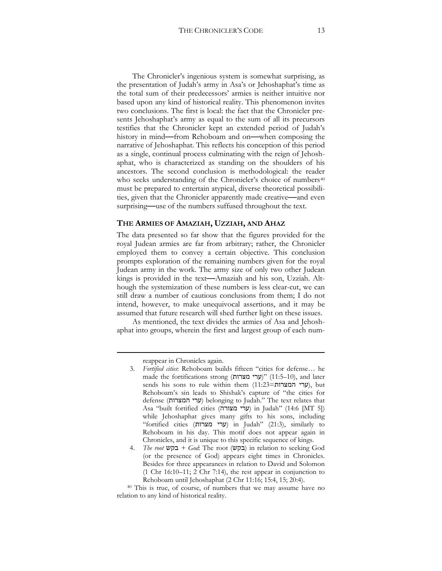The Chronicler's ingenious system is somewhat surprising, as the presentation of Judah's army in Asa's or Jehoshaphat's time as the total sum of their predecessors' armies is neither intuitive nor based upon any kind of historical reality. This phenomenon invites two conclusions. The first is local: the fact that the Chronicler presents Jehoshaphat's army as equal to the sum of all its precursors testifies that the Chronicler kept an extended period of Judah's history in mind**—**from Rehoboam and on**—**when composing the narrative of Jehoshaphat. This reflects his conception of this period as a single, continual process culminating with the reign of Jehoshaphat, who is characterized as standing on the shoulders of his ancestors. The second conclusion is methodological: the reader who seeks understanding of the Chronicler's choice of numbers<sup>[40](#page-13-0)</sup> must be prepared to entertain atypical, diverse theoretical possibilities, given that the Chronicler apparently made creative**—**and even surprising—use of the numbers suffused throughout the text.

#### **THE ARMIES OF AMAZIAH, UZZIAH, AND AHAZ**

The data presented so far show that the figures provided for the royal Judean armies are far from arbitrary; rather, the Chronicler employed them to convey a certain objective. This conclusion prompts exploration of the remaining numbers given for the royal Judean army in the work. The army size of only two other Judean kings is provided in the text**—**Amaziah and his son, Uzziah. Although the systemization of these numbers is less clear-cut, we can still draw a number of cautious conclusions from them; I do not intend, however, to make unequivocal assertions, and it may be assumed that future research will shed further light on these issues.

As mentioned, the text divides the armies of Asa and Jehoshaphat into groups, wherein the first and largest group of each num-

reappear in Chronicles again.

<sup>3.</sup> *Fortified cities*: Rehoboam builds fifteen "cities for defense… he made the fortifications strong (ערי מצרות)" (11:5–10), and later sends his sons to rule within them (11:23=ערי המצרות), but Rehoboam's sin leads to Shishak's capture of "the cities for defense (ערי המצרות) belonging to Judah." The text relates that Asa "built fortified cities (ערי מצורה) in Judah" (14:6 [MT 5]) while Jehoshaphat gives many gifts to his sons, including "fortified cities (ערי מצרות) in Judah" (21:3), similarly to Rehoboam in his day. This motif does not appear again in Chronicles, and it is unique to this specific sequence of kings.

<sup>4.</sup> *The root* בקש *+ God*: The root (בקש (in relation to seeking God (or the presence of God) appears eight times in Chronicles. Besides for three appearances in relation to David and Solomon (1 Chr 16:10–11; 2 Chr 7:14), the rest appear in conjunction to Rehoboam until Jehoshaphat (2 Chr 11:16; 15:4, 15; 20:4).

<span id="page-13-0"></span><sup>40</sup> This is true, of course, of numbers that we may assume have no relation to any kind of historical reality.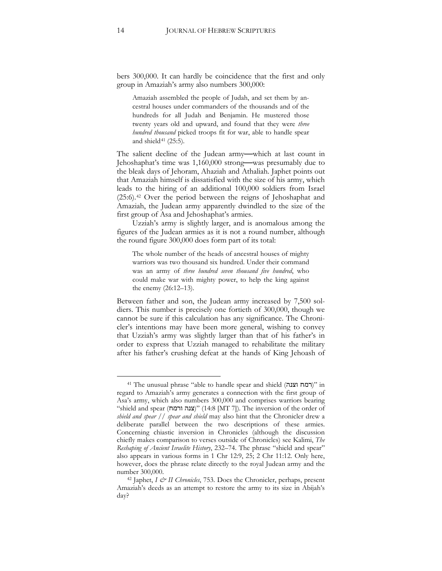bers 300,000. It can hardly be coincidence that the first and only group in Amaziah's army also numbers 300,000:

Amaziah assembled the people of Judah, and set them by ancestral houses under commanders of the thousands and of the hundreds for all Judah and Benjamin. He mustered those twenty years old and upward, and found that they were *three hundred thousand* picked troops fit for war, able to handle spear and shield $41$  (25:5).

The salient decline of the Judean army**—**which at last count in Jehoshaphat's time was 1,160,000 strong**—**was presumably due to the bleak days of Jehoram, Ahaziah and Athaliah. Japhet points out that Amaziah himself is dissatisfied with the size of his army, which leads to the hiring of an additional 100,000 soldiers from Israel (25:6).[42](#page-14-1) Over the period between the reigns of Jehoshaphat and Amaziah, the Judean army apparently dwindled to the size of the first group of Asa and Jehoshaphat's armies.

Uzziah's army is slightly larger, and is anomalous among the figures of the Judean armies as it is not a round number, although the round figure 300,000 does form part of its total:

The whole number of the heads of ancestral houses of mighty warriors was two thousand six hundred. Under their command was an army of *three hundred seven thousand five hundred*, who could make war with mighty power, to help the king against the enemy (26:12–13).

Between father and son, the Judean army increased by 7,500 soldiers. This number is precisely one fortieth of 300,000, though we cannot be sure if this calculation has any significance. The Chronicler's intentions may have been more general, wishing to convey that Uzziah's army was slightly larger than that of his father's in order to express that Uzziah managed to rehabilitate the military after his father's crushing defeat at the hands of King Jehoash of

<span id="page-14-0"></span><sup>41</sup> The unusual phrase "able to handle spear and shield (וצנה רמח "(in regard to Amaziah's army generates a connection with the first group of Asa's army, which also numbers 300,000 and comprises warriors bearing "shield and spear (ודמח)" (14:8 [MT 7]). The inversion of the order of *shield and spear // spear and shield* may also hint that the Chronicler drew a deliberate parallel between the two descriptions of these armies. Concerning chiastic inversion in Chronicles (although the discussion chiefly makes comparison to verses outside of Chronicles) see Kalimi, *The Reshaping of Ancient Israelite History*, 232–74. The phrase "shield and spear" also appears in various forms in 1 Chr 12:9, 25; 2 Chr 11:12. Only here, however, does the phrase relate directly to the royal Judean army and the number 300,000.

<span id="page-14-1"></span><sup>42</sup> Japhet, *I & II Chronicles*, 753. Does the Chronicler, perhaps, present Amaziah's deeds as an attempt to restore the army to its size in Abijah's day?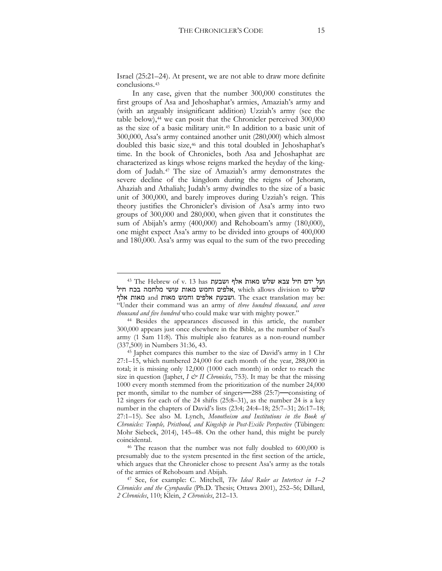Israel (25:21–24). At present, we are not able to draw more definite conclusions.[43](#page-15-0)

In any case, given that the number 300,000 constitutes the first groups of Asa and Jehoshaphat's armies, Amaziah's army and (with an arguably insignificant addition) Uzziah's army (see the table below),<sup>[44](#page-15-1)</sup> we can posit that the Chronicler perceived 300,000 as the size of a basic military unit.[45](#page-15-2) In addition to a basic unit of 300,000, Asa's army contained another unit (280,000) which almost doubled this basic size,[46](#page-15-3) and this total doubled in Jehoshaphat's time. In the book of Chronicles, both Asa and Jehoshaphat are characterized as kings whose reigns marked the heyday of the kingdom of Judah.[47](#page-15-4) The size of Amaziah's army demonstrates the severe decline of the kingdom during the reigns of Jehoram, Ahaziah and Athaliah; Judah's army dwindles to the size of a basic unit of 300,000, and barely improves during Uzziah's reign. This theory justifies the Chronicler's division of Asa's army into two groups of 300,000 and 280,000, when given that it constitutes the sum of Abijah's army (400,000) and Rehoboam's army (180,000), one might expect Asa's army to be divided into groups of 400,000 and 180,000. Asa's army was equal to the sum of the two preceding

<span id="page-15-0"></span>ועל ידם חיל צבא שלש מאות אלף ושבעת 13 has 13 has 13 14 43 The Hebrew of v. 13 has שלש to division allows which ,אלפים וחמש מאות עושי מלחמה בכח חיל ושבעת אלפים וחמש מאות and מאות אלף. The exact translation may be: "Under their command was an army of *three hundred thousand, and seven thousand and five hundred* who could make war with mighty power."

<span id="page-15-1"></span><sup>44</sup> Besides the appearances discussed in this article, the number 300,000 appears just once elsewhere in the Bible, as the number of Saul's army (1 Sam 11:8). This multiple also features as a non-round number (337,500) in Numbers 31:36, 43.

<span id="page-15-2"></span><sup>45</sup> Japhet compares this number to the size of David's army in 1 Chr 27:1–15, which numbered 24,000 for each month of the year, 288,000 in total; it is missing only 12,000 (1000 each month) in order to reach the size in question (Japhet,  $I \circ H$  Chronicles, 753). It may be that the missing 1000 every month stemmed from the prioritization of the number 24,000 per month, similar to the number of singers**—**288 (25:7)**—**consisting of 12 singers for each of the 24 shifts (25:8–31), as the number 24 is a key number in the chapters of David's lists (23:4; 24:4–18; 25:7–31; 26:17–18; 27:1–15). See also M. Lynch, *Monotheism and Institutions in the Book of Chronicles: Temple, Pristhood, and Kingship in Post-Exilic Perspective* (Tübingen: Mohr Siebeck, 2014), 145–48. On the other hand, this might be purely coincidental.

<span id="page-15-3"></span><sup>46</sup> The reason that the number was not fully doubled to 600,000 is presumably due to the system presented in the first section of the article, which argues that the Chronicler chose to present Asa's army as the totals of the armies of Rehoboam and Abijah.

<span id="page-15-4"></span><sup>47</sup> See, for example: C. Mitchell, *The Ideal Ruler as Intertext in 1–2 Chronicles and the Cyropaedia* (Ph.D. Thesis; Ottawa 2001), 252–56; Dillard, *2 Chronicles*, 110; Klein, *2 Chronicles*, 212–13.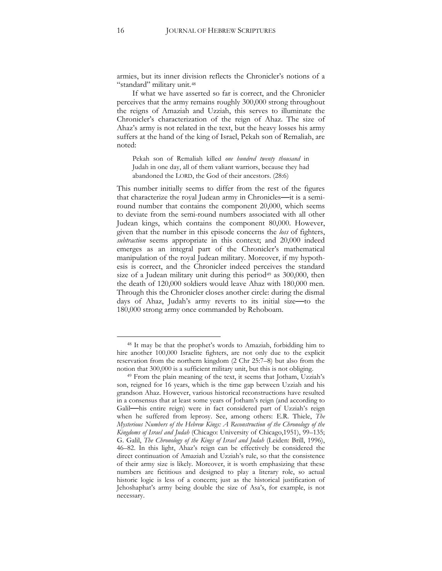armies, but its inner division reflects the Chronicler's notions of a "standard" military unit.[48](#page-16-0)

If what we have asserted so far is correct, and the Chronicler perceives that the army remains roughly 300,000 strong throughout the reigns of Amaziah and Uzziah, this serves to illuminate the Chronicler's characterization of the reign of Ahaz. The size of Ahaz's army is not related in the text, but the heavy losses his army suffers at the hand of the king of Israel, Pekah son of Remaliah, are noted:

Pekah son of Remaliah killed *one hundred twenty thousand* in Judah in one day, all of them valiant warriors, because they had abandoned the LORD, the God of their ancestors. (28:6)

This number initially seems to differ from the rest of the figures that characterize the royal Judean army in Chronicles**—**it is a semiround number that contains the component 20,000, which seems to deviate from the semi-round numbers associated with all other Judean kings, which contains the component 80,000. However, given that the number in this episode concerns the *loss* of fighters, *subtraction* seems appropriate in this context; and 20,000 indeed emerges as an integral part of the Chronicler's mathematical manipulation of the royal Judean military. Moreover, if my hypothesis is correct, and the Chronicler indeed perceives the standard size of a Judean military unit during this period<sup>[49](#page-16-1)</sup> as  $300,000$ , then the death of 120,000 soldiers would leave Ahaz with 180,000 men. Through this the Chronicler closes another circle: during the dismal days of Ahaz, Judah's army reverts to its initial size**—**to the 180,000 strong army once commanded by Rehoboam.

<span id="page-16-0"></span><sup>48</sup> It may be that the prophet's words to Amaziah, forbidding him to hire another 100,000 Israelite fighters, are not only due to the explicit reservation from the northern kingdom (2 Chr 25:7–8) but also from the notion that 300,000 is a sufficient military unit, but this is not obliging.

<span id="page-16-1"></span><sup>49</sup> From the plain meaning of the text, it seems that Jotham, Uzziah's son, reigned for 16 years, which is the time gap between Uzziah and his grandson Ahaz. However, various historical reconstructions have resulted in a consensus that at least some years of Jotham's reign (and according to Galil**—**his entire reign) were in fact considered part of Uzziah's reign when he suffered from leprosy. See, among others: E.R. Thiele, *The Mysterious Numbers of the Hebrew Kings: A Reconstruction of the Chronology of the Kingdoms of Israel and Judah* (Chicago: University of Chicago,1951), 99–135; G. Galil, *The Chronology of the Kings of Israel and Judah* (Leiden: Brill, 1996), 46–82. In this light, Ahaz's reign can be effectively be considered the direct continuation of Amaziah and Uzziah's rule, so that the consistence of their army size is likely. Moreover, it is worth emphasizing that these numbers are fictitious and designed to play a literary role, so actual historic logic is less of a concern; just as the historical justification of Jehoshaphat's army being double the size of Asa's, for example, is not necessary.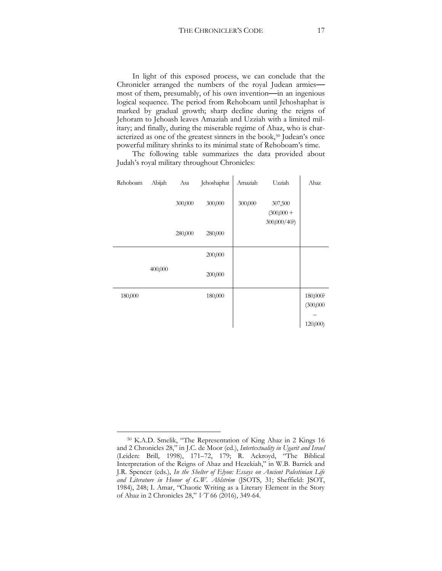In light of this exposed process, we can conclude that the Chronicler arranged the numbers of the royal Judean armies most of them, presumably, of his own invention**—**in an ingenious logical sequence. The period from Rehoboam until Jehoshaphat is marked by gradual growth; sharp decline during the reigns of Jehoram to Jehoash leaves Amaziah and Uzziah with a limited military; and finally, during the miserable regime of Ahaz, who is char-acterized as one of the greatest sinners in the book,<sup>[50](#page-17-0)</sup> Judean's once powerful military shrinks to its minimal state of Rehoboam's time.

The following table summarizes the data provided about Judah's royal military throughout Chronicles:

| Rehoboam | Abijah  | Asa     | Jehoshaphat | Amaziah | Uzziah                  | Ahaz      |
|----------|---------|---------|-------------|---------|-------------------------|-----------|
|          |         | 300,000 | 300,000     | 300,000 | 307,500<br>$(300,000 +$ |           |
|          |         | 280,000 | 280,000     |         | 300,000/40?)            |           |
|          |         |         | 200,000     |         |                         |           |
|          | 400,000 |         | 200,000     |         |                         |           |
| 180,000  |         |         | 180,000     |         |                         | 180,000?  |
|          |         |         |             |         |                         | (300,000) |
|          |         |         |             |         |                         | 120,000)  |

<span id="page-17-0"></span> $\overline{a}$ <sup>50</sup> K.A.D. Smelik, "The Representation of King Ahaz in 2 Kings 16 and 2 Chronicles 28," in J.C. de Moor (ed.), *Intertextuality in Ugarit and Israel* (Leiden: Brill, 1998), 171–72, 179; R. Ackroyd, "The Biblical Interpretation of the Reigns of Ahaz and Hezekiah," in W.B. Barrick and J.R. Spencer (eds.), *In the Shelter of Elyon: Essays on Ancient Palestinian Life and Literature in Honor of G.W. Ahlström* (JSOTS, 31; Sheffield: JSOT, 1984), 248; I. Amar, "Chaotic Writing as a Literary Element in the Story of Ahaz in 2 Chronicles 28," *VT* 66 (2016), 349-64.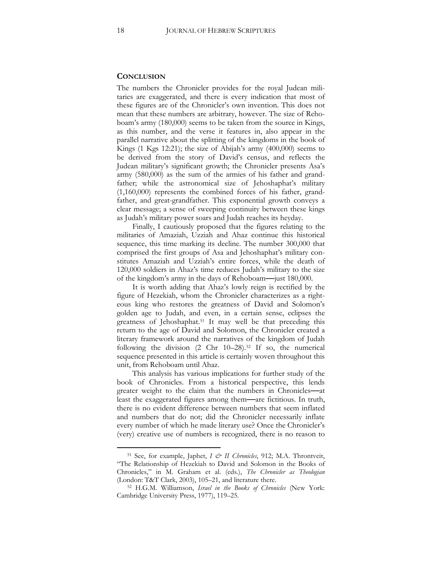#### **CONCLUSION**

The numbers the Chronicler provides for the royal Judean militaries are exaggerated, and there is every indication that most of these figures are of the Chronicler's own invention. This does not mean that these numbers are arbitrary, however. The size of Rehoboam's army (180,000) seems to be taken from the source in Kings, as this number, and the verse it features in, also appear in the parallel narrative about the splitting of the kingdoms in the book of Kings (1 Kgs 12:21); the size of Abijah's army (400,000) seems to be derived from the story of David's census, and reflects the Judean military's significant growth; the Chronicler presents Asa's army (580,000) as the sum of the armies of his father and grandfather; while the astronomical size of Jehoshaphat's military (1,160,000) represents the combined forces of his father, grandfather, and great-grandfather. This exponential growth conveys a clear message; a sense of sweeping continuity between these kings as Judah's military power soars and Judah reaches its heyday.

Finally, I cautiously proposed that the figures relating to the militaries of Amaziah, Uzziah and Ahaz continue this historical sequence, this time marking its decline. The number 300,000 that comprised the first groups of Asa and Jehoshaphat's military constitutes Amaziah and Uzziah's entire forces, while the death of 120,000 soldiers in Ahaz's time reduces Judah's military to the size of the kingdom's army in the days of Rehoboam**—**just 180,000.

It is worth adding that Ahaz's lowly reign is rectified by the figure of Hezekiah, whom the Chronicler characterizes as a righteous king who restores the greatness of David and Solomon's golden age to Judah, and even, in a certain sense, eclipses the greatness of Jehoshaphat.<sup>51</sup> It may well be that preceding this return to the age of David and Solomon, the Chronicler created a literary framework around the narratives of the kingdom of Judah following the division (2 Chr 10–28).<sup>52</sup> If so, the numerical sequence presented in this article is certainly woven throughout this unit, from Rehoboam until Ahaz.

This analysis has various implications for further study of the book of Chronicles. From a historical perspective, this lends greater weight to the claim that the numbers in Chronicles**—**at least the exaggerated figures among them**—**are fictitious. In truth, there is no evident difference between numbers that seem inflated and numbers that do not; did the Chronicler necessarily inflate every number of which he made literary use? Once the Chronicler's (very) creative use of numbers is recognized, there is no reason to

<sup>51</sup> See, for example, Japhet, *I & II Chronicles*, 912; M.A. Throntveit, "The Relationship of Hezekiah to David and Solomon in the Books of Chronicles," in M. Graham et al. (eds.), *The Chronicler as Theologian* (London: T&T Clark, 2003), 105–21, and literature there.

<sup>52</sup> H.G.M. Williamson, *Israel in the Books of Chronicles* (New York: Cambridge University Press, 1977), 119–25.